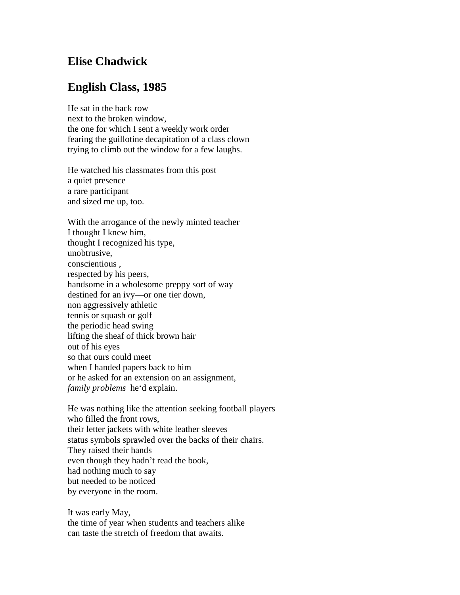## **Elise Chadwick**

## **English Class, 1985**

He sat in the back row next to the broken window, the one for which I sent a weekly work order fearing the guillotine decapitation of a class clown trying to climb out the window for a few laughs.

He watched his classmates from this post a quiet presence a rare participant and sized me up, too.

With the arrogance of the newly minted teacher I thought I knew him, thought I recognized his type, unobtrusive, conscientious , respected by his peers, handsome in a wholesome preppy sort of way destined for an ivy—or one tier down, non aggressively athletic tennis or squash or golf the periodic head swing lifting the sheaf of thick brown hair out of his eyes so that ours could meet when I handed papers back to him or he asked for an extension on an assignment, *family problems* he'd explain.

He was nothing like the attention seeking football players who filled the front rows, their letter jackets with white leather sleeves status symbols sprawled over the backs of their chairs. They raised their hands even though they hadn't read the book, had nothing much to say but needed to be noticed by everyone in the room.

It was early May, the time of year when students and teachers alike can taste the stretch of freedom that awaits.